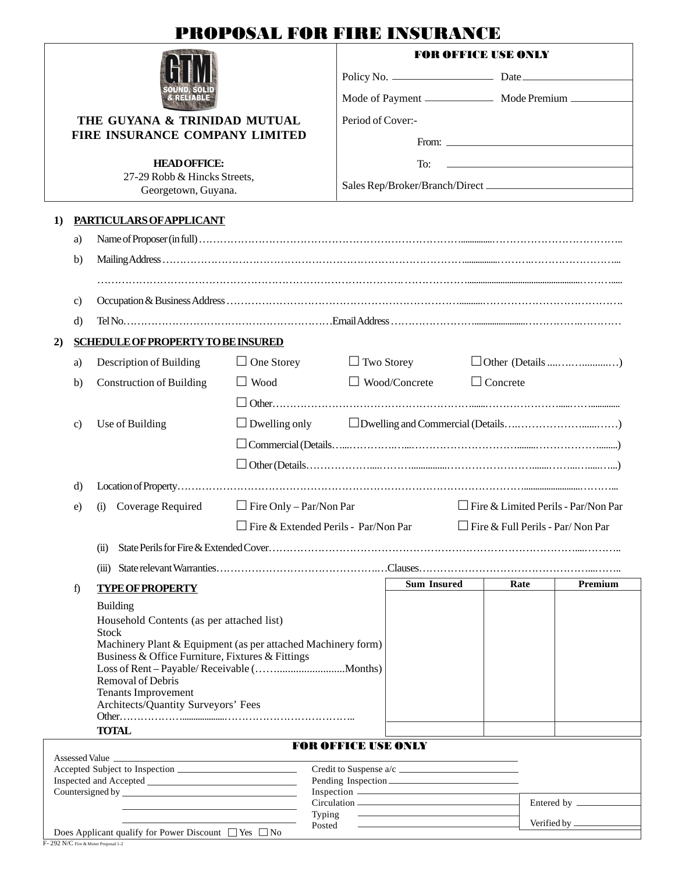## PROPOSAL FOR FIRE INSURANCE

|          |                                                     |                                                                                                                  | PROPOSAL FOR FIRE INSURANCE          |                            |                                                                                   |                                                                                |                      |         |  |  |
|----------|-----------------------------------------------------|------------------------------------------------------------------------------------------------------------------|--------------------------------------|----------------------------|-----------------------------------------------------------------------------------|--------------------------------------------------------------------------------|----------------------|---------|--|--|
|          |                                                     |                                                                                                                  |                                      |                            | <b>FOR OFFICE USE ONLY</b>                                                        |                                                                                |                      |         |  |  |
|          |                                                     |                                                                                                                  |                                      |                            |                                                                                   |                                                                                | Policy No. 2008 Date |         |  |  |
|          |                                                     |                                                                                                                  |                                      |                            |                                                                                   |                                                                                |                      |         |  |  |
|          |                                                     | THE GUYANA & TRINIDAD MUTUAL                                                                                     | Period of Cover:-                    |                            |                                                                                   |                                                                                |                      |         |  |  |
|          |                                                     | FIRE INSURANCE COMPANY LIMITED                                                                                   |                                      | From: $\frac{1}{2}$        |                                                                                   |                                                                                |                      |         |  |  |
|          |                                                     | <b>HEADOFFICE:</b>                                                                                               |                                      |                            | To:<br>the control of the control of the control of the control of the control of |                                                                                |                      |         |  |  |
|          | 27-29 Robb & Hincks Streets,<br>Georgetown, Guyana. |                                                                                                                  |                                      |                            |                                                                                   |                                                                                |                      |         |  |  |
| $\bf{1}$ | PARTICULARS OF APPLICANT                            |                                                                                                                  |                                      |                            |                                                                                   |                                                                                |                      |         |  |  |
|          | a)                                                  |                                                                                                                  |                                      |                            |                                                                                   |                                                                                |                      |         |  |  |
|          | b)                                                  |                                                                                                                  |                                      |                            |                                                                                   |                                                                                |                      |         |  |  |
|          |                                                     |                                                                                                                  |                                      |                            |                                                                                   |                                                                                |                      |         |  |  |
|          | $\mathbf{c}$                                        |                                                                                                                  |                                      |                            |                                                                                   |                                                                                |                      |         |  |  |
|          | d)                                                  |                                                                                                                  |                                      |                            |                                                                                   |                                                                                |                      |         |  |  |
| 2)       |                                                     | <b>SCHEDULE OF PROPERTY TO BE INSURED</b>                                                                        |                                      |                            |                                                                                   |                                                                                |                      |         |  |  |
|          | a)                                                  | Description of Building                                                                                          | $\Box$ One Storey                    | $\Box$ Two Storey          |                                                                                   |                                                                                |                      |         |  |  |
|          | b)                                                  | <b>Construction of Building</b>                                                                                  | $\Box$ Wood                          |                            | $\Box$ Wood/Concrete<br>$\Box$ Concrete                                           |                                                                                |                      |         |  |  |
|          |                                                     |                                                                                                                  |                                      |                            |                                                                                   |                                                                                |                      |         |  |  |
|          | C)                                                  | Use of Building                                                                                                  | $\Box$ Dwelling only                 |                            |                                                                                   |                                                                                |                      |         |  |  |
|          |                                                     |                                                                                                                  |                                      |                            |                                                                                   |                                                                                |                      |         |  |  |
|          |                                                     |                                                                                                                  |                                      |                            |                                                                                   |                                                                                |                      |         |  |  |
|          | d)                                                  |                                                                                                                  |                                      |                            |                                                                                   |                                                                                |                      |         |  |  |
|          | e)                                                  | (i) Coverage Required                                                                                            | $\Box$ Fire Only – Par/Non Par       |                            |                                                                                   | $\Box$ Fire & Limited Perils - Par/Non Par<br>Fire & Full Perils - Par/Non Par |                      |         |  |  |
|          |                                                     |                                                                                                                  | Fire & Extended Perils - Par/Non Par |                            |                                                                                   |                                                                                |                      |         |  |  |
|          |                                                     | (ii)                                                                                                             |                                      |                            |                                                                                   |                                                                                |                      |         |  |  |
|          |                                                     |                                                                                                                  |                                      |                            |                                                                                   |                                                                                |                      |         |  |  |
|          | f)                                                  | <b>TYPE OF PROPERTY</b>                                                                                          |                                      |                            | <b>Sum Insured</b>                                                                |                                                                                | Rate                 | Premium |  |  |
|          |                                                     | <b>Building</b>                                                                                                  |                                      |                            |                                                                                   |                                                                                |                      |         |  |  |
|          |                                                     | Household Contents (as per attached list)<br><b>Stock</b>                                                        |                                      |                            |                                                                                   |                                                                                |                      |         |  |  |
|          |                                                     | Machinery Plant & Equipment (as per attached Machinery form)<br>Business & Office Furniture, Fixtures & Fittings |                                      |                            |                                                                                   |                                                                                |                      |         |  |  |
|          |                                                     | Removal of Debris                                                                                                |                                      |                            |                                                                                   |                                                                                |                      |         |  |  |
|          |                                                     | <b>Tenants Improvement</b>                                                                                       |                                      |                            |                                                                                   |                                                                                |                      |         |  |  |
|          |                                                     | Architects/Quantity Surveyors' Fees                                                                              |                                      |                            |                                                                                   |                                                                                |                      |         |  |  |
|          |                                                     | <b>TOTAL</b>                                                                                                     |                                      |                            |                                                                                   |                                                                                |                      |         |  |  |
|          |                                                     |                                                                                                                  |                                      | <b>FOR OFFICE USE ONLY</b> |                                                                                   |                                                                                |                      |         |  |  |
|          |                                                     |                                                                                                                  |                                      |                            | Credit to Suspense a/c                                                            |                                                                                |                      |         |  |  |
|          |                                                     | Countersigned by                                                                                                 |                                      |                            |                                                                                   |                                                                                |                      |         |  |  |

Typing

Circulation <u>\_\_\_\_\_\_\_\_\_\_\_\_\_\_\_\_\_\_\_\_\_\_\_\_\_\_\_\_\_\_\_\_\_\_</u> Entered by

Posted <del>contract and the United by Verified by</del>

| Does Applicant qualify for Power Discount $\Box$ Yes $\Box$ No |  |
|----------------------------------------------------------------|--|
| F-292 N/C Fire & Motor Proposal 1-2                            |  |